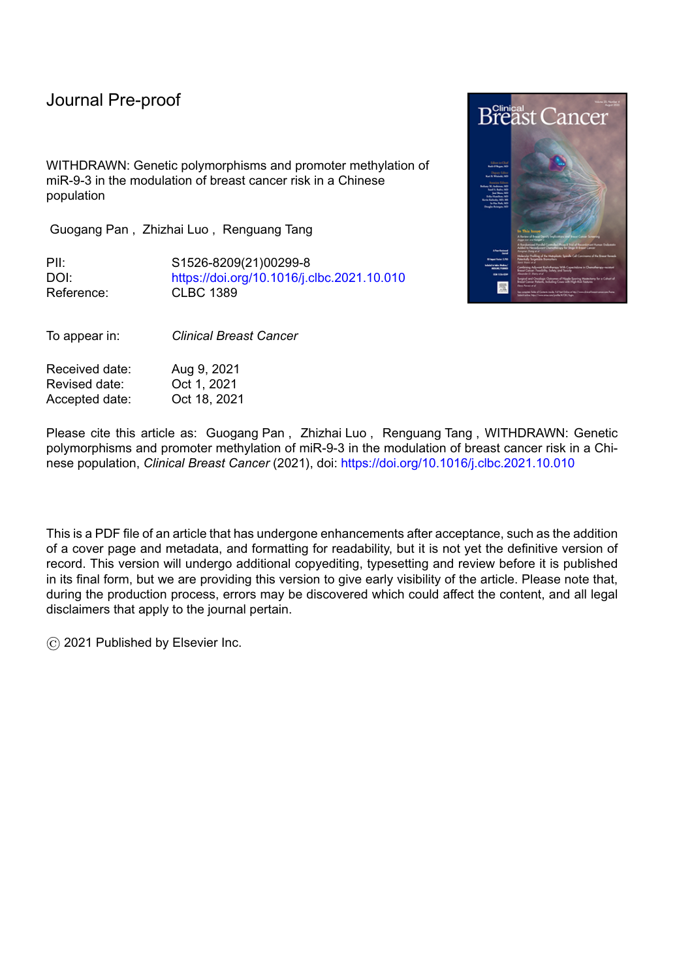## Journal Pre-proof

WITHDRAWN: Genetic polymorphisms and promoter methylation of miR-9-3 in the modulation of breast cancer risk in a Chinese population

Guogang Pan , Zhizhai Luo , Renguang Tang

PII: S1526-8209(21)00299-8 DOI: <https://doi.org/10.1016/j.clbc.2021.10.010> Reference: CLBC 1389

To appear in: *Clinical Breast Cancer*

Received date: Aug 9, 2021 Revised date: Oct 1, 2021 Accepted date: Oct 18, 2021



Please cite this article as: Guogang Pan , Zhizhai Luo , Renguang Tang , WITHDRAWN: Genetic polymorphisms and promoter methylation of miR-9-3 in the modulation of breast cancer risk in a Chinese population, *Clinical Breast Cancer* (2021), doi: <https://doi.org/10.1016/j.clbc.2021.10.010>

This is a PDF file of an article that has undergone enhancements after acceptance, such as the addition of a cover page and metadata, and formatting for readability, but it is not yet the definitive version of record. This version will undergo additional copyediting, typesetting and review before it is published in its final form, but we are providing this version to give early visibility of the article. Please note that, during the production process, errors may be discovered which could affect the content, and all legal disclaimers that apply to the journal pertain.

© 2021 Published by Elsevier Inc.